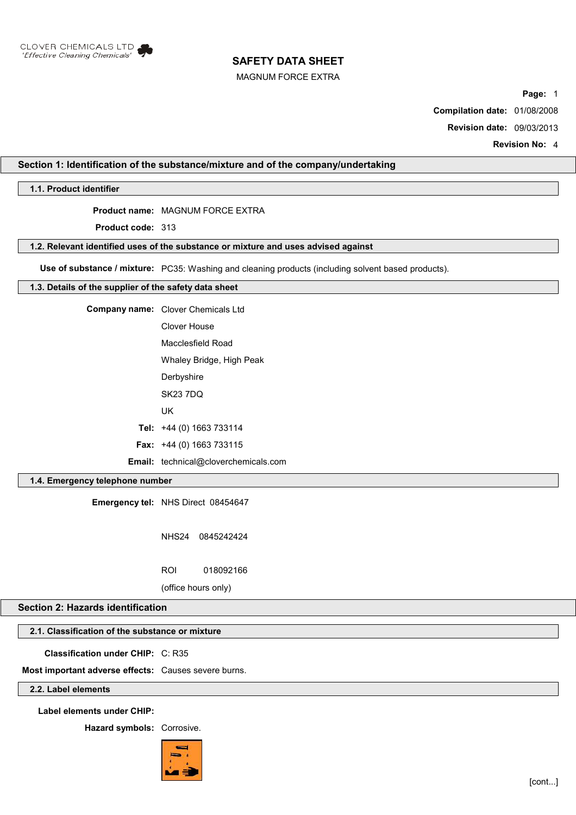

MAGNUM FORCE EXTRA

**Page:** 1

**Compilation date:** 01/08/2008

**Revision date:** 09/03/2013

**Revision No:** 4

# **Section 1: Identification of the substance/mixture and of the company/undertaking**

**1.1. Product identifier**

# **Product name:** MAGNUM FORCE EXTRA

**Product code:** 313

### **1.2. Relevant identified uses of the substance or mixture and uses advised against**

**Use of substance / mixture:** PC35: Washing and cleaning products (including solvent based products).

## **1.3. Details of the supplier of the safety data sheet**

| <b>Company name:</b> Clover Chemicals Ltd   |
|---------------------------------------------|
| Clover House                                |
| Macclesfield Road                           |
| Whaley Bridge, High Peak                    |
| Derbyshire                                  |
| <b>SK23 7DQ</b>                             |
| UK                                          |
| Tel: $+44$ (0) 1663 733114                  |
| <b>Fax:</b> $+44$ (0) 1663 733115           |
| <b>Email:</b> technical@cloverchemicals.com |

# **1.4. Emergency telephone number**

**Emergency tel:** NHS Direct 08454647

NHS24 0845242424

ROI 018092166

(office hours only)

# **Section 2: Hazards identification**

# **2.1. Classification of the substance or mixture**

**Classification under CHIP:** C: R35

**Most important adverse effects:** Causes severe burns.

# **2.2. Label elements**

**Label elements under CHIP:**

**Hazard symbols:** Corrosive.

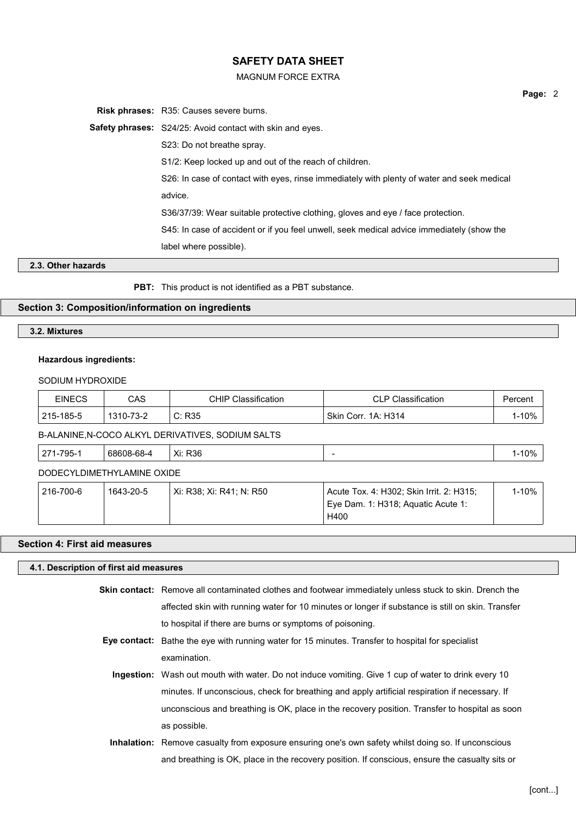### MAGNUM FORCE EXTRA

**Risk phrases:** R35: Causes severe burns.

**Safety phrases:** S24/25: Avoid contact with skin and eyes.

S23: Do not breathe spray.

S1/2: Keep locked up and out of the reach of children.

S26: In case of contact with eyes, rinse immediately with plenty of water and seek medical advice.

S36/37/39: Wear suitable protective clothing, gloves and eye / face protection.

S45: In case of accident or if you feel unwell, seek medical advice immediately (show the

label where possible).

### **2.3. Other hazards**

**PBT:** This product is not identified as a PBT substance.

# **Section 3: Composition/information on ingredients**

### **3.2. Mixtures**

# **Hazardous ingredients:**

### SODIUM HYDROXIDE

| <b>EINECS</b> | CAS       | <b>CHIP Classification</b>                        | <b>CLP Classification</b> | Percent |
|---------------|-----------|---------------------------------------------------|---------------------------|---------|
| 215-185-5     | 1310-73-2 | C: R35                                            | ' Skin Corr. 1A: H314     | 1-10%   |
|               |           | D ALANINE N COCO ALIZZI DEDIVATIVES SODILIM SALTS |                           |         |

B-ALANINE,N-COCO ALKYL DERIVATIVES, SODIUM SALTS

| 10%<br>-795-′<br>R36<br>$\sim$<br>68608-68-4<br>$\mathsf{v}$<br>∴^н.<br><u>.</u> |
|----------------------------------------------------------------------------------|
|----------------------------------------------------------------------------------|

# DODECYLDIMETHYLAMINE OXIDE

| 216-700-6 | 1643-20-5 | Xi: R38: Xi: R41: N: R50 | Acute Tox. 4: H302; Skin Irrit. 2: H315; | 1-10% |
|-----------|-----------|--------------------------|------------------------------------------|-------|
|           |           |                          | Eye Dam. 1: H318; Aguatic Acute 1:       |       |
|           |           |                          | H400                                     |       |

# **Section 4: First aid measures**

# **4.1. Description of first aid measures**

**Skin contact:** Remove all contaminated clothes and footwear immediately unless stuck to skin. Drench the affected skin with running water for 10 minutes or longer if substance is still on skin. Transfer to hospital if there are burns or symptoms of poisoning.

- **Eye contact:** Bathe the eye with running water for 15 minutes. Transfer to hospital for specialist examination.
	- **Ingestion:** Wash out mouth with water. Do not induce vomiting. Give 1 cup of water to drink every 10 minutes. If unconscious, check for breathing and apply artificial respiration if necessary. If unconscious and breathing is OK, place in the recovery position. Transfer to hospital as soon as possible.
	- **Inhalation:** Remove casualty from exposure ensuring one's own safety whilst doing so. If unconscious and breathing is OK, place in the recovery position. If conscious, ensure the casualty sits or

**Page:** 2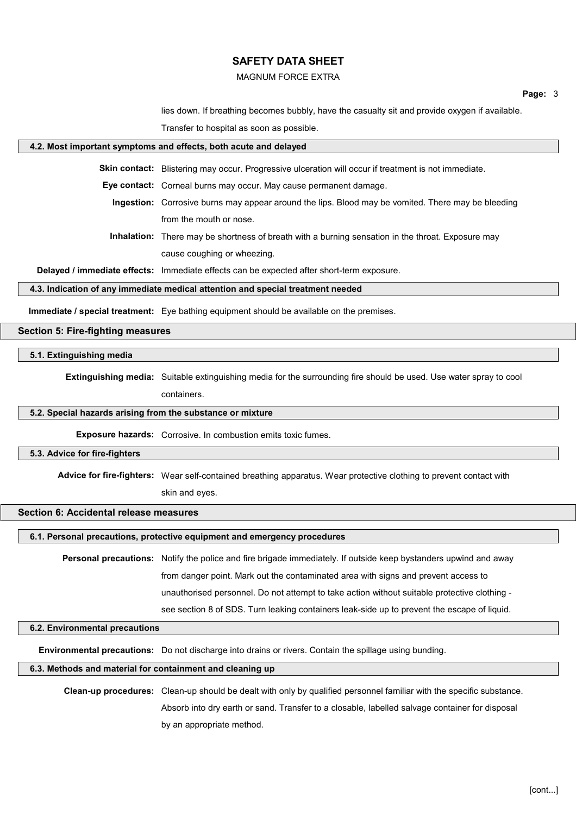### MAGNUM FORCE EXTRA

lies down. If breathing becomes bubbly, have the casualty sit and provide oxygen if available.

Transfer to hospital as soon as possible.

# **4.2. Most important symptoms and effects, both acute and delayed Skin contact:** Blistering may occur. Progressive ulceration will occur if treatment is not immediate. **Eye contact:** Corneal burns may occur. May cause permanent damage. **Ingestion:** Corrosive burns may appear around the lips. Blood may be vomited. There may be bleeding from the mouth or nose. **Inhalation:** There may be shortness of breath with a burning sensation in the throat. Exposure may cause coughing or wheezing. **Delayed / immediate effects:** Immediate effects can be expected after short-term exposure. **4.3. Indication of any immediate medical attention and special treatment needed Immediate / special treatment:** Eye bathing equipment should be available on the premises. **Section 5: Fire-fighting measures 5.1. Extinguishing media Extinguishing media:** Suitable extinguishing media for the surrounding fire should be used. Use water spray to cool containers. **5.2. Special hazards arising from the substance or mixture Exposure hazards:** Corrosive. In combustion emits toxic fumes.

#### **5.3. Advice for fire-fighters**

Advice for fire-fighters: Wear self-contained breathing apparatus. Wear protective clothing to prevent contact with

skin and eyes.

# **Section 6: Accidental release measures**

### **6.1. Personal precautions, protective equipment and emergency procedures**

**Personal precautions:** Notify the police and fire brigade immediately. If outside keep bystanders upwind and away from danger point. Mark out the contaminated area with signs and prevent access to unauthorised personnel. Do not attempt to take action without suitable protective clothing see section 8 of SDS. Turn leaking containers leak-side up to prevent the escape of liquid.

### **6.2. Environmental precautions**

**Environmental precautions:** Do not discharge into drains or rivers. Contain the spillage using bunding.

### **6.3. Methods and material for containment and cleaning up**

**Clean-up procedures:** Clean-up should be dealt with only by qualified personnel familiar with the specific substance. Absorb into dry earth or sand. Transfer to a closable, labelled salvage container for disposal by an appropriate method.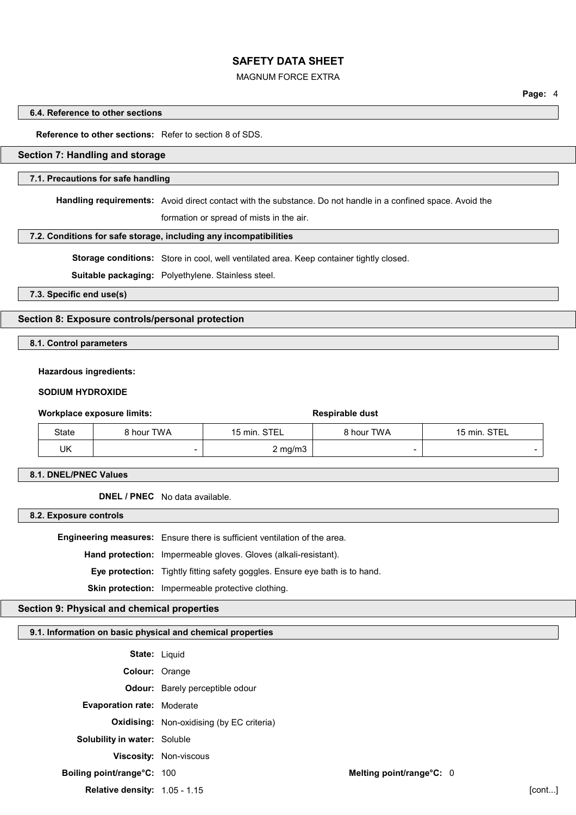## MAGNUM FORCE EXTRA

# **6.4. Reference to other sections**

### **Reference to other sections:** Refer to section 8 of SDS.

### **Section 7: Handling and storage**

#### **7.1. Precautions for safe handling**

**Handling requirements:** Avoid direct contact with the substance. Do not handle in a confined space. Avoid the

formation or spread of mists in the air.

### **7.2. Conditions for safe storage, including any incompatibilities**

**Storage conditions:** Store in cool, well ventilated area. Keep container tightly closed.

**Suitable packaging:** Polyethylene. Stainless steel.

**7.3. Specific end use(s)**

### **Section 8: Exposure controls/personal protection**

# **8.1. Control parameters**

#### **Hazardous ingredients:**

# **SODIUM HYDROXIDE**

### **Workplace exposure limits: Respirable dust Respirable dust**

| State | 8 hour TWA | 15 min. STEL     | 8 hour TWA | 15 min. STEL |
|-------|------------|------------------|------------|--------------|
| UK    |            | $2 \text{ mg/m}$ |            |              |

**8.1. DNEL/PNEC Values**

**DNEL / PNEC** No data available.

**8.2. Exposure controls**

**Engineering measures:** Ensure there is sufficient ventilation of the area.

**Hand protection:** Impermeable gloves. Gloves (alkali-resistant).

**Eye protection:** Tightly fitting safety goggles. Ensure eye bath is to hand.

**Skin protection:** Impermeable protective clothing.

# **Section 9: Physical and chemical properties**

# **9.1. Information on basic physical and chemical properties**

|                                      | <b>State: Liquid</b>                             |                          |         |
|--------------------------------------|--------------------------------------------------|--------------------------|---------|
| Colour: Orange                       |                                                  |                          |         |
|                                      | <b>Odour:</b> Barely perceptible odour           |                          |         |
| <b>Evaporation rate: Moderate</b>    |                                                  |                          |         |
|                                      | <b>Oxidising:</b> Non-oxidising (by EC criteria) |                          |         |
| <b>Solubility in water: Soluble</b>  |                                                  |                          |         |
|                                      | <b>Viscosity: Non-viscous</b>                    |                          |         |
| Boiling point/range°C: 100           |                                                  | Melting point/range°C: 0 |         |
| <b>Relative density: 1.05 - 1.15</b> |                                                  |                          | [cont…] |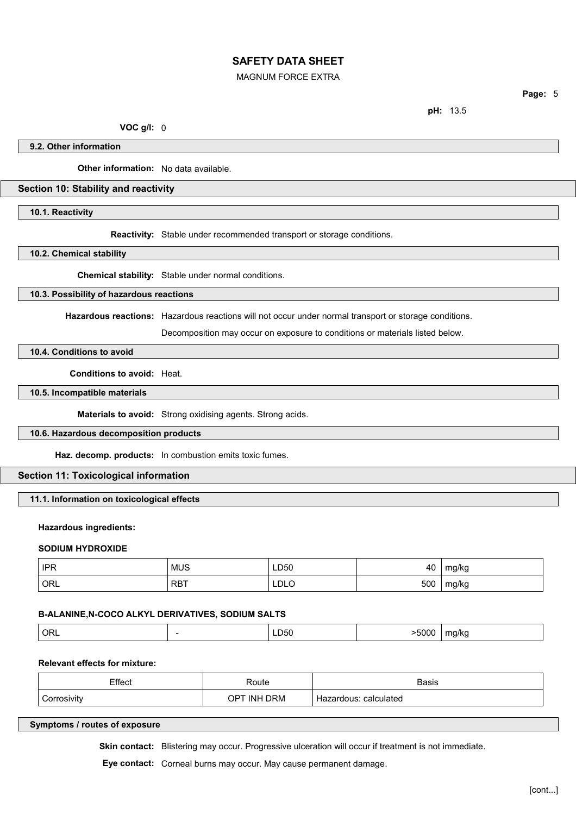### MAGNUM FORCE EXTRA

**Page:** 5

**pH:** 13.5

**VOC g/l:** 0

**9.2. Other information**

**Other information:** No data available.

# **Section 10: Stability and reactivity**

**10.1. Reactivity**

**Reactivity:** Stable under recommended transport or storage conditions.

**10.2. Chemical stability**

**Chemical stability:** Stable under normal conditions.

# **10.3. Possibility of hazardous reactions**

**Hazardous reactions:** Hazardous reactions will not occur under normal transport or storage conditions.

Decomposition may occur on exposure to conditions or materials listed below.

# **10.4. Conditions to avoid**

**Conditions to avoid:** Heat.

**10.5. Incompatible materials**

**Materials to avoid:** Strong oxidising agents. Strong acids.

# **10.6. Hazardous decomposition products**

**Haz. decomp. products:** In combustion emits toxic fumes.

# **Section 11: Toxicological information**

**11.1. Information on toxicological effects**

# **Hazardous ingredients:**

#### **SODIUM HYDROXIDE**

| <b>IPR</b><br> | <b>MUS</b><br>___ | LD50<br>$ -$ | 40  | mg/kg |
|----------------|-------------------|--------------|-----|-------|
| ' ORL          | <b>RBT</b>        | LDLO         | 500 | mg/kg |

### **B-ALANINE,N-COCO ALKYL DERIVATIVES, SODIUM SALTS**

| $^{\prime}$ ORL<br>LD50<br>.<br>. . |
|-------------------------------------|
|-------------------------------------|

# **Relevant effects for mixture:**

| Effect      | Route                          | Basis                    |
|-------------|--------------------------------|--------------------------|
| `orrosivitv | <b>DRM</b><br><b>INH</b><br>ΟP | calculated<br>Hazardous: |

**Symptoms / routes of exposure**

Skin contact: Blistering may occur. Progressive ulceration will occur if treatment is not immediate.

**Eye contact:** Corneal burns may occur. May cause permanent damage.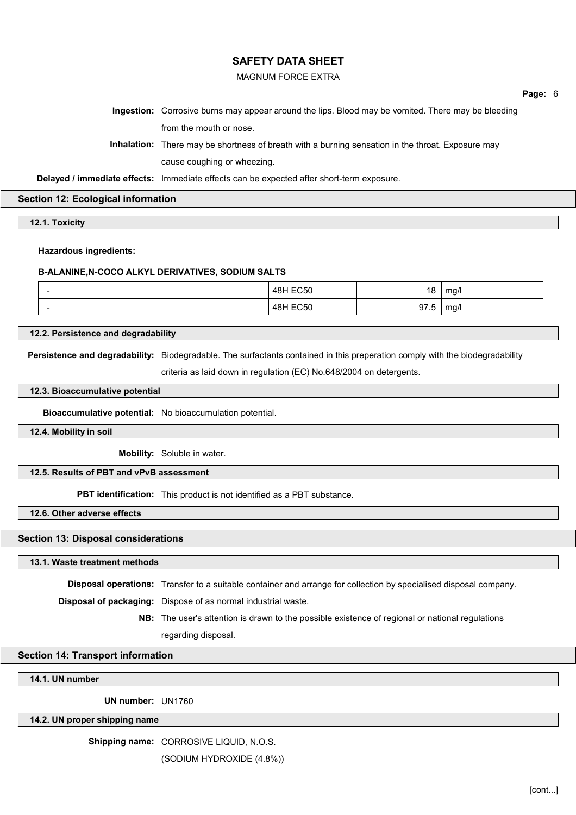## MAGNUM FORCE EXTRA

**Page:** 6

**Ingestion:** Corrosive burns may appear around the lips. Blood may be vomited. There may be bleeding from the mouth or nose.

**Inhalation:** There may be shortness of breath with a burning sensation in the throat. Exposure may cause coughing or wheezing.

**Delayed / immediate effects:** Immediate effects can be expected after short-term exposure.

**Section 12: Ecological information**

**12.1. Toxicity**

**Hazardous ingredients:**

### **B-ALANINE,N-COCO ALKYL DERIVATIVES, SODIUM SALTS**

| $\overline{\phantom{a}}$ | <b>48H EC50</b>         | 18               | mg/l |
|--------------------------|-------------------------|------------------|------|
| $\overline{\phantom{a}}$ | $F^{\sim}$<br>48H<br>้ี | 97<br>∽<br>ອ ເ.ບ | mg/l |

**12.2. Persistence and degradability**

**Persistence and degradability:** Biodegradable. The surfactants contained in this preperation comply with the biodegradability

criteria as laid down in regulation (EC) No.648/2004 on detergents.

### **12.3. Bioaccumulative potential**

**Bioaccumulative potential:** No bioaccumulation potential.

**12.4. Mobility in soil**

**Mobility:** Soluble in water.

# **12.5. Results of PBT and vPvB assessment**

**PBT identification:** This product is not identified as a PBT substance.

**12.6. Other adverse effects**

# **Section 13: Disposal considerations**

#### **13.1. Waste treatment methods**

**Disposal operations:** Transfer to a suitable container and arrange for collection by specialised disposal company.

**Disposal of packaging:** Dispose of as normal industrial waste.

**NB:** The user's attention is drawn to the possible existence of regional or national regulations

regarding disposal.

# **Section 14: Transport information**

# **14.1. UN number**

**UN number:** UN1760

**14.2. UN proper shipping name**

**Shipping name:** CORROSIVE LIQUID, N.O.S.

(SODIUM HYDROXIDE (4.8%))